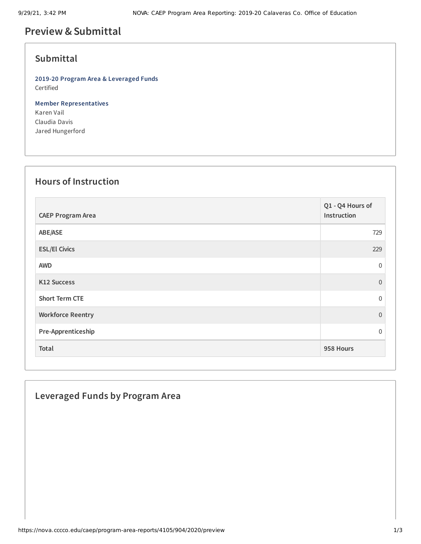# **Preview &Submittal**

#### **Submittal**

**2019-20 Program Area & Leveraged Funds** Certified

**Member Representatives** Karen Vail Claudia Davis Jared Hungerford

## **Hours of Instruction**

| <b>CAEP Program Area</b> | Q1 - Q4 Hours of<br>Instruction |
|--------------------------|---------------------------------|
| ABE/ASE                  | 729                             |
| <b>ESL/El Civics</b>     | 229                             |
| <b>AWD</b>               | $\mathbf 0$                     |
| K12 Success              | $\overline{0}$                  |
| <b>Short Term CTE</b>    | $\theta$                        |
| <b>Workforce Reentry</b> | $\overline{0}$                  |
| Pre-Apprenticeship       | $\overline{0}$                  |
| Total                    | 958 Hours                       |

#### **Leveraged Funds by Program Area**